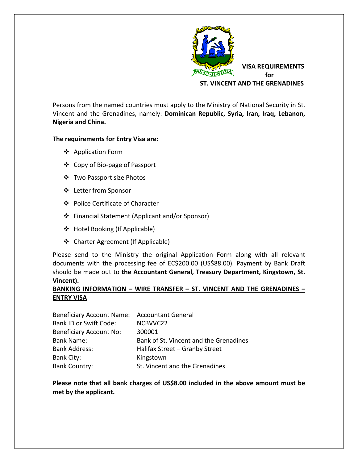

Persons from the named countries must apply to the Ministry of National Security in St. Vincent and the Grenadines, namely: **Dominican Republic, Syria, Iran, Iraq, Lebanon, Nigeria and China.** 

## **The requirements for Entry Visa are:**

- ❖ Application Form
- ❖ Copy of Bio-page of Passport
- ❖ Two Passport size Photos
- ❖ Letter from Sponsor
- ❖ Police Certificate of Character
- ❖ Financial Statement (Applicant and/or Sponsor)
- ❖ Hotel Booking (If Applicable)
- ❖ Charter Agreement (If Applicable)

Please send to the Ministry the original Application Form along with all relevant documents with the processing fee of EC\$200.00 (US\$88.00). Payment by Bank Draft should be made out to the Accountant General, Treasury Department, Kingstown, St. **Vincent).%**

## **BANKING INFORMATION – WIRE TRANSFER – ST. VINCENT AND THE GRENADINES – ENTRY%VISA**

| Beneficiary Account Name: Accountant General |                                        |
|----------------------------------------------|----------------------------------------|
| <b>Bank ID or Swift Code:</b>                | NCBVVC22                               |
| <b>Beneficiary Account No:</b>               | 300001                                 |
| <b>Bank Name:</b>                            | Bank of St. Vincent and the Grenadines |
| <b>Bank Address:</b>                         | Halifax Street - Granby Street         |
| Bank City:                                   | Kingstown                              |
| <b>Bank Country:</b>                         | St. Vincent and the Grenadines         |

Please note that all bank charges of US\$8.00 included in the above amount must be met by the applicant.